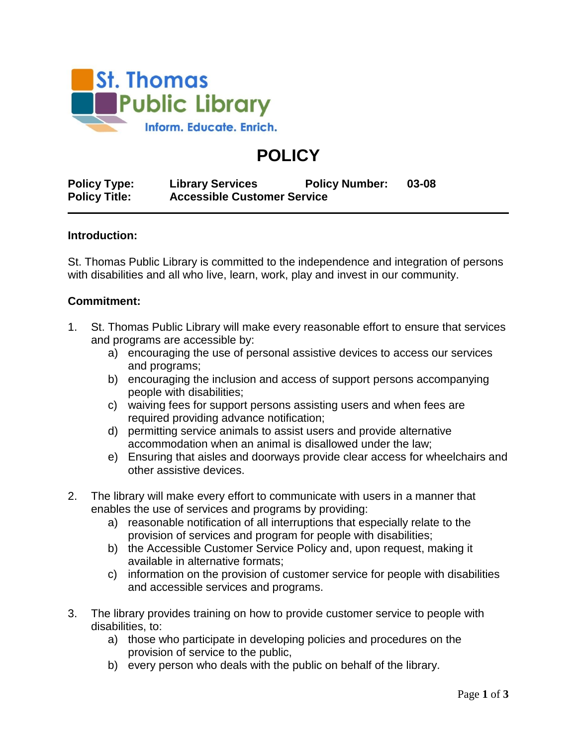

# **POLICY**

**Policy Type: Library Services Policy Number: 03-08 Policy Title: Accessible Customer Service**

#### **Introduction:**

St. Thomas Public Library is committed to the independence and integration of persons with disabilities and all who live, learn, work, play and invest in our community.

#### **Commitment:**

- 1. St. Thomas Public Library will make every reasonable effort to ensure that services and programs are accessible by:
	- a) encouraging the use of personal assistive devices to access our services and programs;
	- b) encouraging the inclusion and access of support persons accompanying people with disabilities;
	- c) waiving fees for support persons assisting users and when fees are required providing advance notification;
	- d) permitting service animals to assist users and provide alternative accommodation when an animal is disallowed under the law;
	- e) Ensuring that aisles and doorways provide clear access for wheelchairs and other assistive devices.
- 2. The library will make every effort to communicate with users in a manner that enables the use of services and programs by providing:
	- a) reasonable notification of all interruptions that especially relate to the provision of services and program for people with disabilities;
	- b) the Accessible Customer Service Policy and, upon request, making it available in alternative formats;
	- c) information on the provision of customer service for people with disabilities and accessible services and programs.
- 3. The library provides training on how to provide customer service to people with disabilities, to:
	- a) those who participate in developing policies and procedures on the provision of service to the public,
	- b) every person who deals with the public on behalf of the library.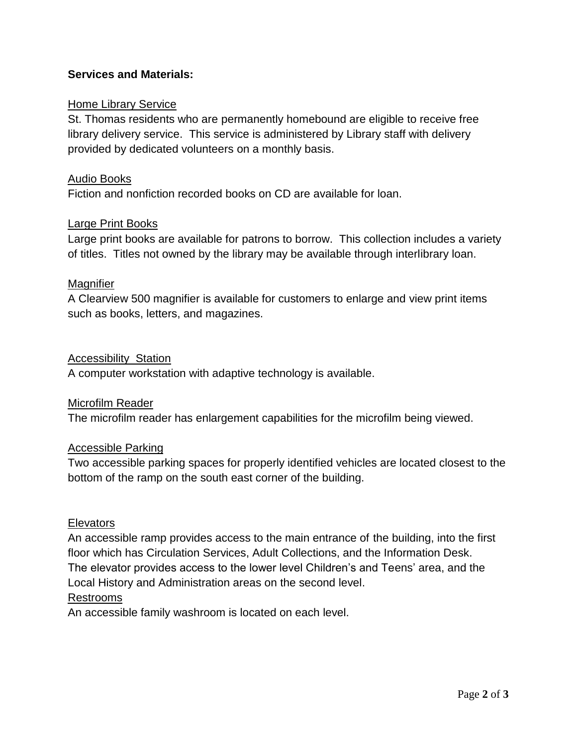## **Services and Materials:**

### Home Library Service

St. Thomas residents who are permanently homebound are eligible to receive free library delivery service. This service is administered by Library staff with delivery provided by dedicated volunteers on a monthly basis.

#### Audio Books

Fiction and nonfiction recorded books on CD are available for loan.

#### Large Print Books

Large print books are available for patrons to borrow. This collection includes a variety of titles. Titles not owned by the library may be available through interlibrary loan.

#### **Magnifier**

A Clearview 500 magnifier is available for customers to enlarge and view print items such as books, letters, and magazines.

#### Accessibility Station

A computer workstation with adaptive technology is available.

#### Microfilm Reader

The microfilm reader has enlargement capabilities for the microfilm being viewed.

#### Accessible Parking

Two accessible parking spaces for properly identified vehicles are located closest to the bottom of the ramp on the south east corner of the building.

#### **Elevators**

An accessible ramp provides access to the main entrance of the building, into the first floor which has Circulation Services, Adult Collections, and the Information Desk. The elevator provides access to the lower level Children's and Teens' area, and the Local History and Administration areas on the second level.

#### Restrooms

An accessible family washroom is located on each level.